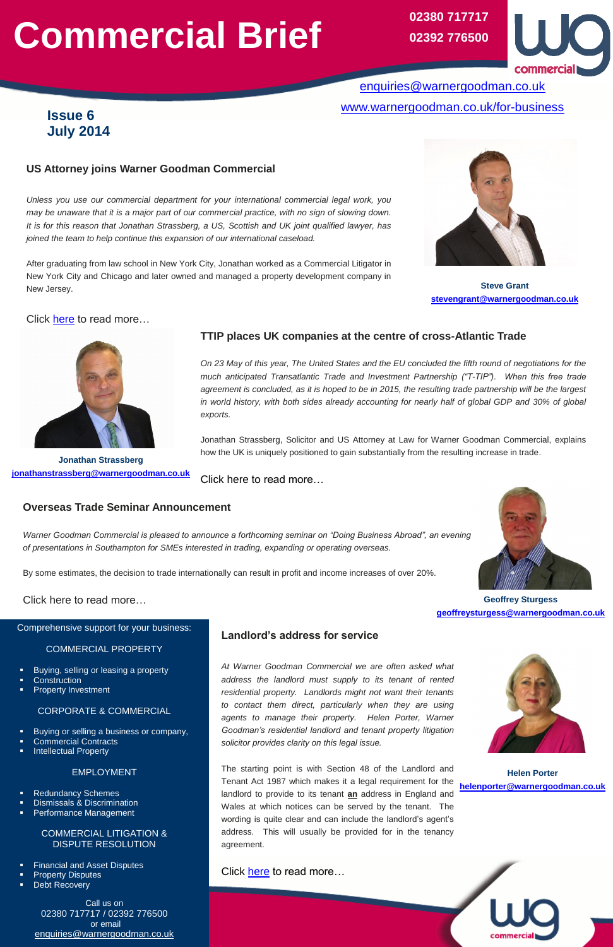# **Commercial Brief**

#### **Overseas Trade Seminar Announcement**



*of presentations in Southampton for SMEs interested in trading, expanding or operating overseas.*

By some estimates, the decision to trade internationally can result in profit and income increases of over 20%.



Click here to read more…

# **Landlord's address for service**

*At Warner Goodman Commercial we are often asked what address the landlord must supply to its tenant of rented residential property. Landlords might not want their tenants to contact them direct, particularly when they are using agents to manage their property. Helen Porter, Warner Goodman's residential landlord and tenant property litigation solicitor provides clarity on this legal issue.* 



The starting point is with Section 48 of the Landlord and Tenant Act 1987 which makes it a legal requirement for the landlord to provide to its tenant **an** address in England and Wales at which notices can be served by the tenant. The wording is quite clear and can include the landlord's agent's address. This will usually be provided for in the tenancy agreement.



# **US Attorney joins Warner Goodman Commercial**

*Unless you use our commercial department for your international commercial legal work, you may be unaware that it is a major part of our commercial practice, with no sign of slowing down. It is for this reason that Jonathan Strassberg, a US, Scottish and UK joint qualified lawyer, has joined the team to help continue this expansion of our international caseload.*

After graduating from law school in New York City, Jonathan worked as a Commercial Litigator in New York City and Chicago and later owned and managed a property development company in New Jersey.

## Click [here](https://www.warnergoodman.co.uk/site/blog/news/us-attorney-joins-hampshire-law-firm) to read more…



Comprehensive support for your business:

#### COMMERCIAL PROPERTY

- Buying, selling or leasing a property
- **Construction**
- Property Investment

### CORPORATE & COMMERCIAL

- Buying or selling a business or company,
- Commercial Contracts
- Intellectual Property

#### EMPLOYMENT

- Redundancy Schemes
- Dismissals & Discrimination
- Performance Management

#### COMMERCIAL LITIGATION & DISPUTE RESOLUTION

- Financial and Asset Disputes
- Property Disputes
- Debt Recovery

Call us on 02380 717717 / 02392 776500 or email [enquiries@warnergoodman.co.uk](mailto:enquiries@warnergoodman.co.uk)

# **Issue 6 July 2014**

[enquiries@warnergoodman.co.uk](mailto:enquiries@warnergoodman.co.uk) [www.warnergoodman.co.uk/for-business](http://www.warnergoodman.co.uk/for-business)

## **TTIP places UK companies at the centre of cross-Atlantic Trade**

*On 23 May of this year, The United States and the EU concluded the fifth round of negotiations for the much anticipated Transatlantic Trade and Investment Partnership ("T-TIP"). When this free trade agreement is concluded, as it is hoped to be in 2015, the resulting trade partnership will be the largest in world history, with both sides already accounting for nearly half of global GDP and 30% of global exports.*

**02380 717717 02392 776500**



Jonathan Strassberg, Solicitor and US Attorney at Law for Warner Goodman Commercial, explains how the UK is uniquely positioned to gain substantially from the resulting increase in trade.

Click here to read more…

**Steve Grant [stevengrant@warnergoodman.co.uk](mailto:stevengrant@warnergoodman.co.uk)**

> **Helen Porter [helenporter@warnergoodman.co.uk](mailto:helenporter@warnergoodman.co.uk)**

**Geoffrey Sturgess [geoffreysturgess@warnergoodman.co.uk](mailto:geoffreysturgess@warnergoodman.co.uk)**

**Jonathan Strassberg [jonathanstrassberg@warnergoodman.co.uk](mailto:jonathanstrassberg@warnergoodman.co.uk)**